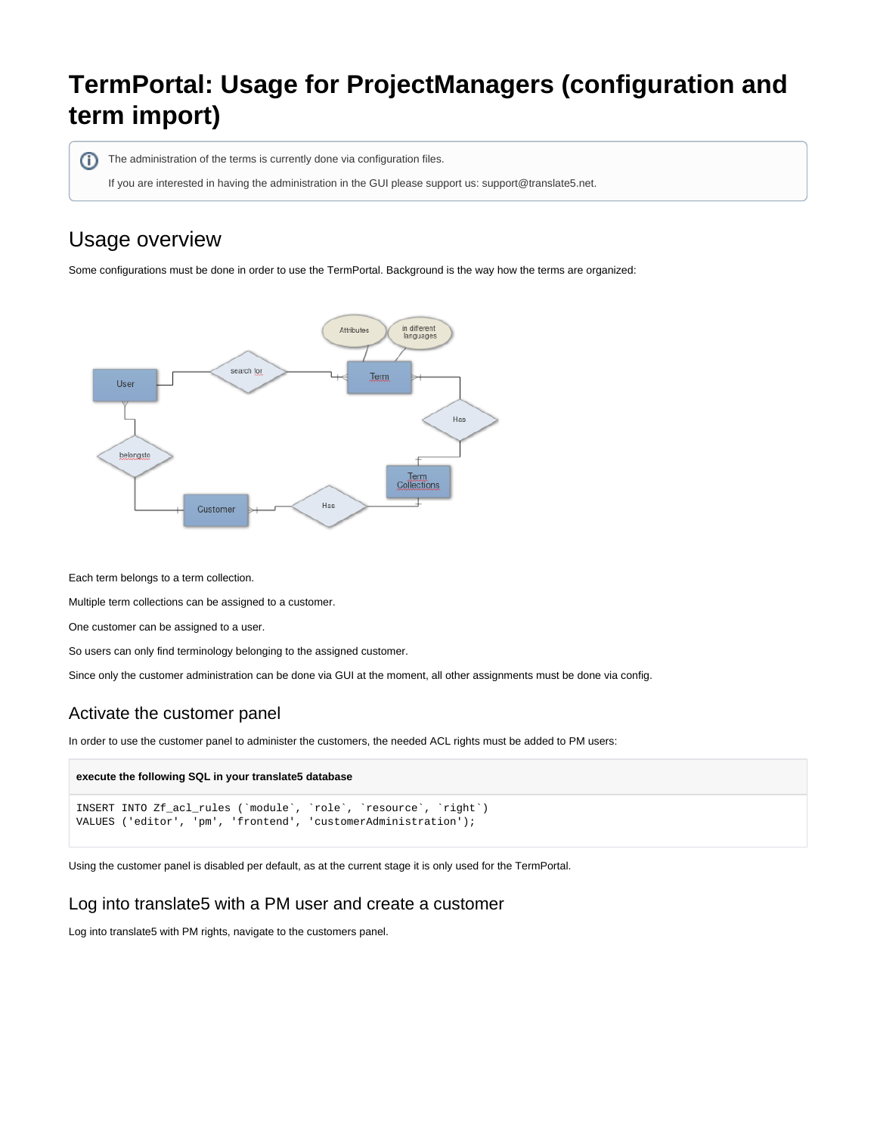# **TermPortal: Usage for ProjectManagers (configuration and term import)**

The administration of the terms is currently done via configuration files. ന

If you are interested in having the administration in the GUI please support us: support@translate5.net.

# Usage overview

Some configurations must be done in order to use the TermPortal. Background is the way how the terms are organized:



Each term belongs to a term collection.

Multiple term collections can be assigned to a customer.

One customer can be assigned to a user.

So users can only find terminology belonging to the assigned customer.

Since only the customer administration can be done via GUI at the moment, all other assignments must be done via config.

### Activate the customer panel

In order to use the customer panel to administer the customers, the needed ACL rights must be added to PM users:

#### **execute the following SQL in your translate5 database**

```
INSERT INTO Zf_acl_rules (`module`, `role`, `resource`, `right`) 
VALUES ('editor', 'pm', 'frontend', 'customerAdministration');
```
Using the customer panel is disabled per default, as at the current stage it is only used for the TermPortal.

#### Log into translate5 with a PM user and create a customer

Log into translate5 with PM rights, navigate to the customers panel.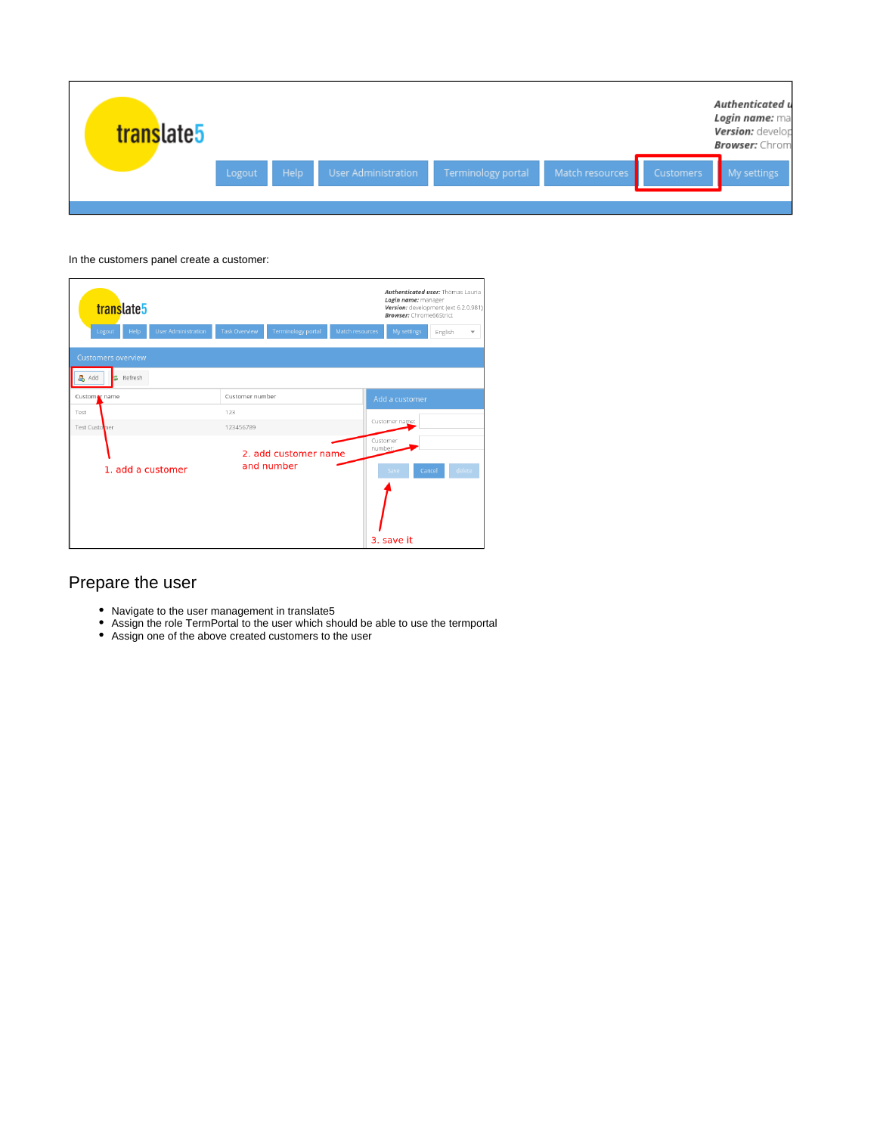| translate5 |        |      |                     |                    |                 |           | Authenticated u<br>Login name: ma<br>Version: develop<br><b>Browser:</b> Chrom |
|------------|--------|------|---------------------|--------------------|-----------------|-----------|--------------------------------------------------------------------------------|
|            | Logout | Help | User Administration | Terminology portal | Match resources | Customers | My settings                                                                    |
|            |        |      |                     |                    |                 |           |                                                                                |

#### In the customers panel create a customer:

| translate5                                         |                      |                                    |                 | Authenticated user: Thömas Lauria<br>Login name: manager<br>Version: development (ext 6.2.0.981)<br><b>Browser:</b> Chrome66Strict |         |                          |
|----------------------------------------------------|----------------------|------------------------------------|-----------------|------------------------------------------------------------------------------------------------------------------------------------|---------|--------------------------|
| Help<br><b>User Administration</b><br>Logout       | <b>Task Overview</b> | <b>Terminology portal</b>          | Match resources | My settings                                                                                                                        | English | $\overline{\phantom{a}}$ |
| <b>Customers overview</b><br>& Add<br>Refresh<br>龀 |                      |                                    |                 |                                                                                                                                    |         |                          |
| Customar name                                      | Customer number      |                                    |                 | Add a customer                                                                                                                     |         |                          |
| Test                                               | 123                  |                                    |                 |                                                                                                                                    |         |                          |
| Test Customer                                      | 123456789            |                                    |                 | Customer name:                                                                                                                     |         |                          |
| 1. add a customer                                  |                      | 2. add customer name<br>and number |                 |                                                                                                                                    | Cancel  | delete                   |
|                                                    |                      |                                    |                 | 3. save it                                                                                                                         |         |                          |

### Prepare the user

- Navigate to the user management in translate5
- Assign the role TermPortal to the user which should be able to use the termportal
- Assign one of the above created customers to the user